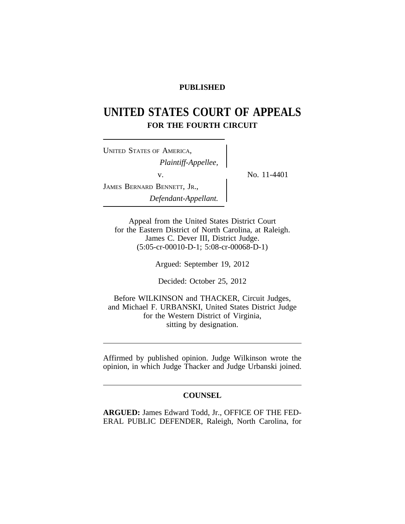# **PUBLISHED**

# **UNITED STATES COURT OF APPEALS FOR THE FOURTH CIRCUIT**

<sup>U</sup>NITED STATES OF AMERICA, *Plaintiff-Appellee,* v.  $\qquad \qquad \sum_{v}$  No. 11-4401 JAMES BERNARD BENNETT, JR., *Defendant-Appellant.*

Appeal from the United States District Court for the Eastern District of North Carolina, at Raleigh. James C. Dever III, District Judge. (5:05-cr-00010-D-1; 5:08-cr-00068-D-1)

Argued: September 19, 2012

Decided: October 25, 2012

Before WILKINSON and THACKER, Circuit Judges, and Michael F. URBANSKI, United States District Judge for the Western District of Virginia, sitting by designation.

Affirmed by published opinion. Judge Wilkinson wrote the opinion, in which Judge Thacker and Judge Urbanski joined.

### **COUNSEL**

**ARGUED:** James Edward Todd, Jr., OFFICE OF THE FED-ERAL PUBLIC DEFENDER, Raleigh, North Carolina, for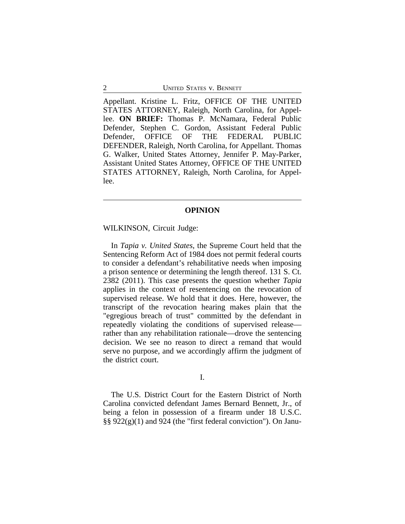Appellant. Kristine L. Fritz, OFFICE OF THE UNITED STATES ATTORNEY, Raleigh, North Carolina, for Appellee. **ON BRIEF:** Thomas P. McNamara, Federal Public Defender, Stephen C. Gordon, Assistant Federal Public Defender, OFFICE OF THE FEDERAL PUBLIC DEFENDER, Raleigh, North Carolina, for Appellant. Thomas G. Walker, United States Attorney, Jennifer P. May-Parker, Assistant United States Attorney, OFFICE OF THE UNITED STATES ATTORNEY, Raleigh, North Carolina, for Appellee.

#### **OPINION**

#### WILKINSON, Circuit Judge:

In *Tapia v. United States*, the Supreme Court held that the Sentencing Reform Act of 1984 does not permit federal courts to consider a defendant's rehabilitative needs when imposing a prison sentence or determining the length thereof. 131 S. Ct. 2382 (2011). This case presents the question whether *Tapia* applies in the context of resentencing on the revocation of supervised release. We hold that it does. Here, however, the transcript of the revocation hearing makes plain that the "egregious breach of trust" committed by the defendant in repeatedly violating the conditions of supervised release rather than any rehabilitation rationale—drove the sentencing decision. We see no reason to direct a remand that would serve no purpose, and we accordingly affirm the judgment of the district court.

## I.

The U.S. District Court for the Eastern District of North Carolina convicted defendant James Bernard Bennett, Jr., of being a felon in possession of a firearm under 18 U.S.C. §§ 922(g)(1) and 924 (the "first federal conviction"). On Janu-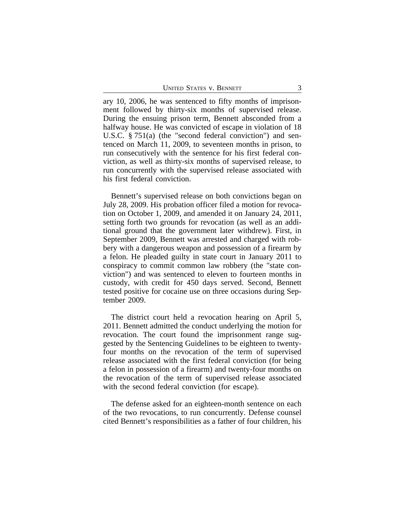ary 10, 2006, he was sentenced to fifty months of imprisonment followed by thirty-six months of supervised release. During the ensuing prison term, Bennett absconded from a halfway house. He was convicted of escape in violation of 18 U.S.C. § 751(a) (the "second federal conviction") and sentenced on March 11, 2009, to seventeen months in prison, to run consecutively with the sentence for his first federal conviction, as well as thirty-six months of supervised release, to run concurrently with the supervised release associated with his first federal conviction.

Bennett's supervised release on both convictions began on July 28, 2009. His probation officer filed a motion for revocation on October 1, 2009, and amended it on January 24, 2011, setting forth two grounds for revocation (as well as an additional ground that the government later withdrew). First, in September 2009, Bennett was arrested and charged with robbery with a dangerous weapon and possession of a firearm by a felon. He pleaded guilty in state court in January 2011 to conspiracy to commit common law robbery (the "state conviction") and was sentenced to eleven to fourteen months in custody, with credit for 450 days served. Second, Bennett tested positive for cocaine use on three occasions during September 2009.

The district court held a revocation hearing on April 5, 2011. Bennett admitted the conduct underlying the motion for revocation. The court found the imprisonment range suggested by the Sentencing Guidelines to be eighteen to twentyfour months on the revocation of the term of supervised release associated with the first federal conviction (for being a felon in possession of a firearm) and twenty-four months on the revocation of the term of supervised release associated with the second federal conviction (for escape).

The defense asked for an eighteen-month sentence on each of the two revocations, to run concurrently. Defense counsel cited Bennett's responsibilities as a father of four children, his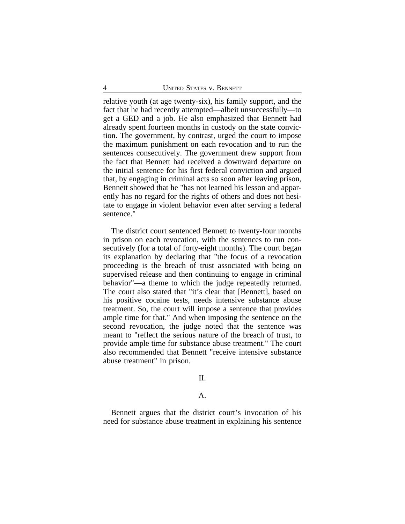relative youth (at age twenty-six), his family support, and the fact that he had recently attempted—albeit unsuccessfully—to get a GED and a job. He also emphasized that Bennett had already spent fourteen months in custody on the state conviction. The government, by contrast, urged the court to impose the maximum punishment on each revocation and to run the sentences consecutively. The government drew support from the fact that Bennett had received a downward departure on the initial sentence for his first federal conviction and argued that, by engaging in criminal acts so soon after leaving prison, Bennett showed that he "has not learned his lesson and apparently has no regard for the rights of others and does not hesitate to engage in violent behavior even after serving a federal sentence."

The district court sentenced Bennett to twenty-four months in prison on each revocation, with the sentences to run consecutively (for a total of forty-eight months). The court began its explanation by declaring that "the focus of a revocation proceeding is the breach of trust associated with being on supervised release and then continuing to engage in criminal behavior"—a theme to which the judge repeatedly returned. The court also stated that "it's clear that [Bennett], based on his positive cocaine tests, needs intensive substance abuse treatment. So, the court will impose a sentence that provides ample time for that." And when imposing the sentence on the second revocation, the judge noted that the sentence was meant to "reflect the serious nature of the breach of trust, to provide ample time for substance abuse treatment." The court also recommended that Bennett "receive intensive substance abuse treatment" in prison.

## II.

### A.

Bennett argues that the district court's invocation of his need for substance abuse treatment in explaining his sentence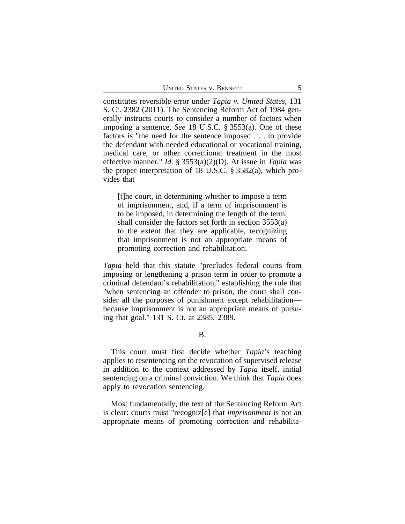constitutes reversible error under *Tapia v. United States*, 131 S. Ct. 2382 (2011). The Sentencing Reform Act of 1984 generally instructs courts to consider a number of factors when imposing a sentence. *See* 18 U.S.C. § 3553(a). One of these factors is "the need for the sentence imposed . . . to provide the defendant with needed educational or vocational training, medical care, or other correctional treatment in the most effective manner." *Id.* § 3553(a)(2)(D). At issue in *Tapia* was the proper interpretation of 18 U.S.C. § 3582(a), which provides that

[t]he court, in determining whether to impose a term of imprisonment, and, if a term of imprisonment is to be imposed, in determining the length of the term, shall consider the factors set forth in section 3553(a) to the extent that they are applicable, recognizing that imprisonment is not an appropriate means of promoting correction and rehabilitation.

*Tapia* held that this statute "precludes federal courts from imposing or lengthening a prison term in order to promote a criminal defendant's rehabilitation," establishing the rule that "when sentencing an offender to prison, the court shall consider all the purposes of punishment except rehabilitation because imprisonment is not an appropriate means of pursuing that goal." 131 S. Ct. at 2385, 2389.

B.

This court must first decide whether *Tapia*'s teaching applies to resentencing on the revocation of supervised release in addition to the context addressed by *Tapia* itself, initial sentencing on a criminal conviction. We think that *Tapia* does apply to revocation sentencing.

Most fundamentally, the text of the Sentencing Reform Act is clear: courts must "recogniz[e] that *imprisonment* is not an appropriate means of promoting correction and rehabilita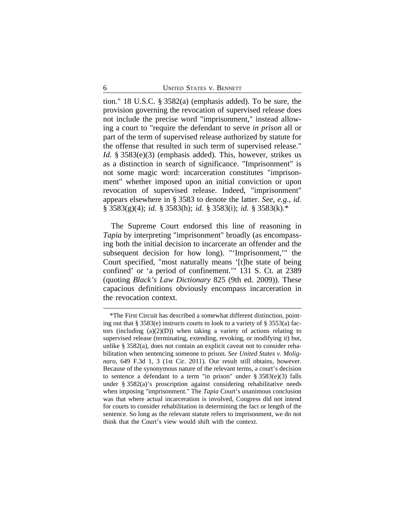tion." 18 U.S.C. § 3582(a) (emphasis added). To be sure, the provision governing the revocation of supervised release does not include the precise word "imprisonment," instead allowing a court to "require the defendant to serve *in prison* all or part of the term of supervised release authorized by statute for the offense that resulted in such term of supervised release." *Id.* § 3583(e)(3) (emphasis added). This, however, strikes us as a distinction in search of significance. "Imprisonment" is not some magic word: incarceration constitutes "imprisonment" whether imposed upon an initial conviction or upon revocation of supervised release. Indeed, "imprisonment" appears elsewhere in § 3583 to denote the latter. *See, e.g.*, *id.* § 3583(g)(4); *id.* § 3583(h); *id.* § 3583(i); *id.* § 3583(k).\*

The Supreme Court endorsed this line of reasoning in *Tapia* by interpreting "imprisonment" broadly (as encompassing both the initial decision to incarcerate an offender and the subsequent decision for how long). "'Imprisonment,'" the Court specified, "most naturally means '[t]he state of being confined' or 'a period of confinement.'" 131 S. Ct. at 2389 (quoting *Black's Law Dictionary* 825 (9th ed. 2009)). These capacious definitions obviously encompass incarceration in the revocation context.

<sup>\*</sup>The First Circuit has described a somewhat different distinction, pointing out that  $\S 3583(e)$  instructs courts to look to a variety of  $\S 3553(a)$  factors (including  $(a)(2)(D)$ ) when taking a variety of actions relating to supervised release (terminating, extending, revoking, or modifying it) but, unlike § 3582(a), does not contain an explicit caveat not to consider rehabilitation when sentencing someone to prison. *See United States v. Molignaro*, 649 F.3d 1, 3 (1st Cir. 2011). Our result still obtains, however. Because of the synonymous nature of the relevant terms, a court's decision to sentence a defendant to a term "in prison" under  $\S 3583(e)(3)$  falls under § 3582(a)'s proscription against considering rehabilitative needs when imposing "imprisonment." The *Tapia* Court's unanimous conclusion was that where actual incarceration is involved, Congress did not intend for courts to consider rehabilitation in determining the fact or length of the sentence. So long as the relevant statute refers to imprisonment, we do not think that the Court's view would shift with the context.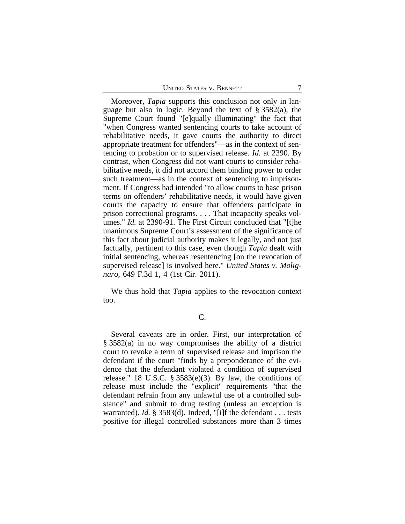Moreover, *Tapia* supports this conclusion not only in language but also in logic. Beyond the text of § 3582(a), the Supreme Court found "[e]qually illuminating" the fact that "when Congress wanted sentencing courts to take account of rehabilitative needs, it gave courts the authority to direct appropriate treatment for offenders"—as in the context of sentencing to probation or to supervised release. *Id.* at 2390. By contrast, when Congress did not want courts to consider rehabilitative needs, it did not accord them binding power to order such treatment—as in the context of sentencing to imprisonment. If Congress had intended "to allow courts to base prison terms on offenders' rehabilitative needs, it would have given courts the capacity to ensure that offenders participate in prison correctional programs. . . . That incapacity speaks volumes." *Id.* at 2390-91. The First Circuit concluded that "[t]he unanimous Supreme Court's assessment of the significance of this fact about judicial authority makes it legally, and not just factually, pertinent to this case, even though *Tapia* dealt with initial sentencing, whereas resentencing [on the revocation of supervised release] is involved here." *United States v. Molignaro*, 649 F.3d 1, 4 (1st Cir. 2011).

We thus hold that *Tapia* applies to the revocation context too.

# C.

Several caveats are in order. First, our interpretation of § 3582(a) in no way compromises the ability of a district court to revoke a term of supervised release and imprison the defendant if the court "finds by a preponderance of the evidence that the defendant violated a condition of supervised release." 18 U.S.C.  $\S 3583(e)(3)$ . By law, the conditions of release must include the "explicit" requirements "that the defendant refrain from any unlawful use of a controlled substance" and submit to drug testing (unless an exception is warranted). *Id.* § 3583(d). Indeed, "[i]f the defendant . . . tests positive for illegal controlled substances more than 3 times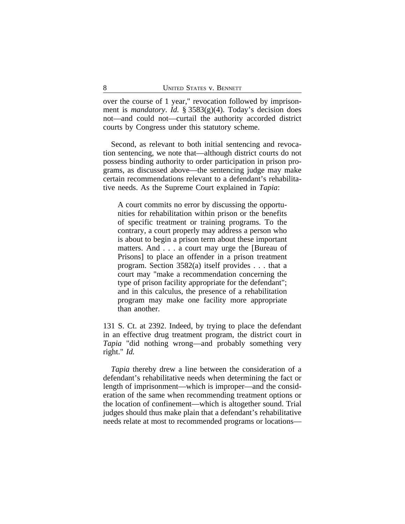over the course of 1 year," revocation followed by imprisonment is *mandatory*. *Id.* § 3583(g)(4). Today's decision does not—and could not—curtail the authority accorded district courts by Congress under this statutory scheme.

Second, as relevant to both initial sentencing and revocation sentencing, we note that—although district courts do not possess binding authority to order participation in prison programs, as discussed above—the sentencing judge may make certain recommendations relevant to a defendant's rehabilitative needs. As the Supreme Court explained in *Tapia*:

A court commits no error by discussing the opportunities for rehabilitation within prison or the benefits of specific treatment or training programs. To the contrary, a court properly may address a person who is about to begin a prison term about these important matters. And . . . a court may urge the [Bureau of Prisons] to place an offender in a prison treatment program. Section 3582(a) itself provides . . . that a court may "make a recommendation concerning the type of prison facility appropriate for the defendant"; and in this calculus, the presence of a rehabilitation program may make one facility more appropriate than another.

131 S. Ct. at 2392. Indeed, by trying to place the defendant in an effective drug treatment program, the district court in *Tapia* "did nothing wrong—and probably something very right." *Id.*

*Tapia* thereby drew a line between the consideration of a defendant's rehabilitative needs when determining the fact or length of imprisonment—which is improper—and the consideration of the same when recommending treatment options or the location of confinement—which is altogether sound. Trial judges should thus make plain that a defendant's rehabilitative needs relate at most to recommended programs or locations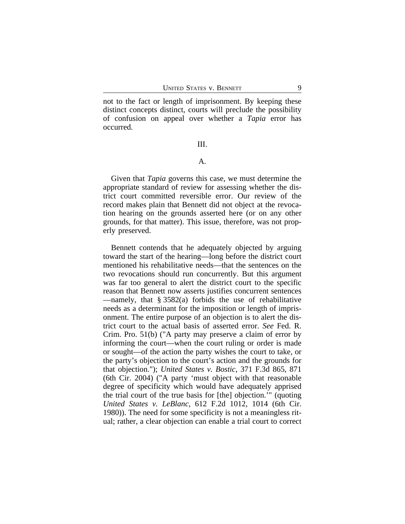not to the fact or length of imprisonment. By keeping these distinct concepts distinct, courts will preclude the possibility of confusion on appeal over whether a *Tapia* error has occurred.

III.

## A.

Given that *Tapia* governs this case, we must determine the appropriate standard of review for assessing whether the district court committed reversible error. Our review of the record makes plain that Bennett did not object at the revocation hearing on the grounds asserted here (or on any other grounds, for that matter). This issue, therefore, was not properly preserved.

Bennett contends that he adequately objected by arguing toward the start of the hearing—long before the district court mentioned his rehabilitative needs—that the sentences on the two revocations should run concurrently. But this argument was far too general to alert the district court to the specific reason that Bennett now asserts justifies concurrent sentences —namely, that  $\S 3582(a)$  forbids the use of rehabilitative needs as a determinant for the imposition or length of imprisonment. The entire purpose of an objection is to alert the district court to the actual basis of asserted error. *See* Fed. R. Crim. Pro. 51(b) ("A party may preserve a claim of error by informing the court—when the court ruling or order is made or sought—of the action the party wishes the court to take, or the party's objection to the court's action and the grounds for that objection."); *United States v. Bostic*, 371 F.3d 865, 871 (6th Cir. 2004) ("A party 'must object with that reasonable degree of specificity which would have adequately apprised the trial court of the true basis for [the] objection.'" (quoting *United States v. LeBlanc*, 612 F.2d 1012, 1014 (6th Cir. 1980)). The need for some specificity is not a meaningless ritual; rather, a clear objection can enable a trial court to correct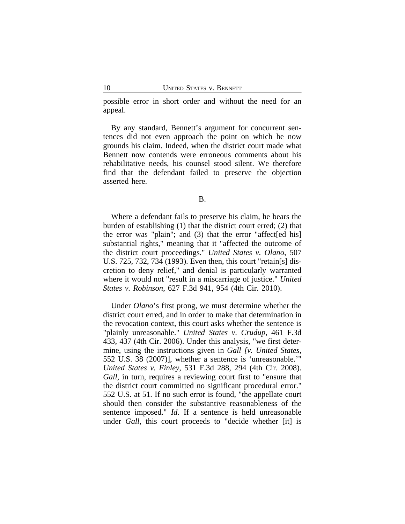possible error in short order and without the need for an appeal.

By any standard, Bennett's argument for concurrent sentences did not even approach the point on which he now grounds his claim. Indeed, when the district court made what Bennett now contends were erroneous comments about his rehabilitative needs, his counsel stood silent. We therefore find that the defendant failed to preserve the objection asserted here.

B.

Where a defendant fails to preserve his claim, he bears the burden of establishing (1) that the district court erred; (2) that the error was "plain"; and (3) that the error "affect[ed his] substantial rights," meaning that it "affected the outcome of the district court proceedings." *United States v. Olano*, 507 U.S. 725, 732, 734 (1993). Even then, this court "retain[s] discretion to deny relief," and denial is particularly warranted where it would not "result in a miscarriage of justice." *United States v. Robinson*, 627 F.3d 941, 954 (4th Cir. 2010).

Under *Olano*'s first prong, we must determine whether the district court erred, and in order to make that determination in the revocation context, this court asks whether the sentence is "plainly unreasonable." *United States v. Crudup*, 461 F.3d 433, 437 (4th Cir. 2006). Under this analysis, "we first determine, using the instructions given in *Gall [v. United States*, 552 U.S. 38 (2007)], whether a sentence is 'unreasonable.'" *United States v. Finley*, 531 F.3d 288, 294 (4th Cir. 2008). *Gall*, in turn, requires a reviewing court first to "ensure that the district court committed no significant procedural error." 552 U.S. at 51. If no such error is found, "the appellate court should then consider the substantive reasonableness of the sentence imposed." *Id.* If a sentence is held unreasonable under *Gall*, this court proceeds to "decide whether [it] is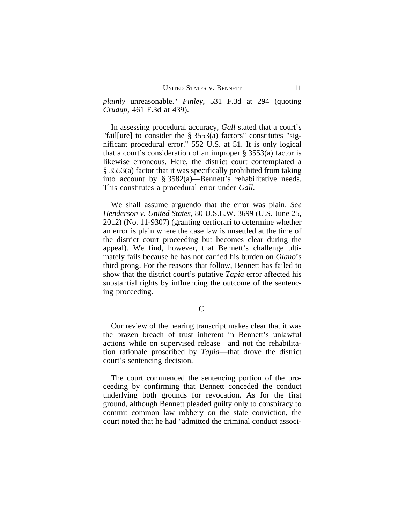*plainly* unreasonable." *Finley*, 531 F.3d at 294 (quoting *Crudup*, 461 F.3d at 439).

In assessing procedural accuracy, *Gall* stated that a court's "fail[ure] to consider the § 3553(a) factors" constitutes "significant procedural error." 552 U.S. at 51. It is only logical that a court's consideration of an improper § 3553(a) factor is likewise erroneous. Here, the district court contemplated a § 3553(a) factor that it was specifically prohibited from taking into account by § 3582(a)—Bennett's rehabilitative needs. This constitutes a procedural error under *Gall*.

We shall assume arguendo that the error was plain. *See Henderson v. United States*, 80 U.S.L.W. 3699 (U.S. June 25, 2012) (No. 11-9307) (granting certiorari to determine whether an error is plain where the case law is unsettled at the time of the district court proceeding but becomes clear during the appeal). We find, however, that Bennett's challenge ultimately fails because he has not carried his burden on *Olano*'s third prong. For the reasons that follow, Bennett has failed to show that the district court's putative *Tapia* error affected his substantial rights by influencing the outcome of the sentencing proceeding.

#### C.

Our review of the hearing transcript makes clear that it was the brazen breach of trust inherent in Bennett's unlawful actions while on supervised release—and not the rehabilitation rationale proscribed by *Tapia*—that drove the district court's sentencing decision.

The court commenced the sentencing portion of the proceeding by confirming that Bennett conceded the conduct underlying both grounds for revocation. As for the first ground, although Bennett pleaded guilty only to conspiracy to commit common law robbery on the state conviction, the court noted that he had "admitted the criminal conduct associ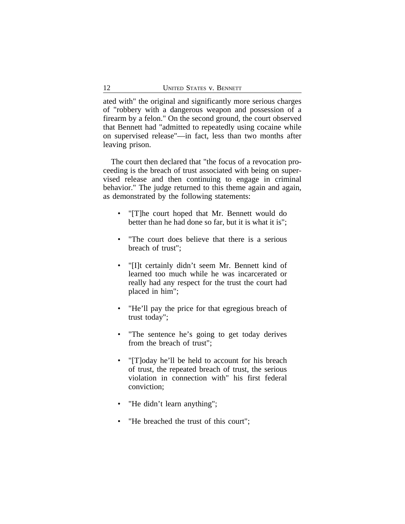ated with" the original and significantly more serious charges of "robbery with a dangerous weapon and possession of a firearm by a felon." On the second ground, the court observed that Bennett had "admitted to repeatedly using cocaine while on supervised release"—in fact, less than two months after leaving prison.

The court then declared that "the focus of a revocation proceeding is the breach of trust associated with being on supervised release and then continuing to engage in criminal behavior." The judge returned to this theme again and again, as demonstrated by the following statements:

- "[T]he court hoped that Mr. Bennett would do better than he had done so far, but it is what it is";
- "The court does believe that there is a serious breach of trust";
- "[I]t certainly didn't seem Mr. Bennett kind of learned too much while he was incarcerated or really had any respect for the trust the court had placed in him";
- "He'll pay the price for that egregious breach of trust today";
- "The sentence he's going to get today derives from the breach of trust";
- "[T]oday he'll be held to account for his breach of trust, the repeated breach of trust, the serious violation in connection with" his first federal conviction;
- "He didn't learn anything";
- "He breached the trust of this court";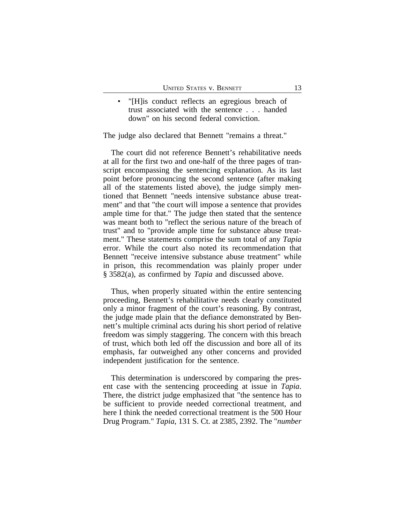"[H]is conduct reflects an egregious breach of trust associated with the sentence . . . handed down" on his second federal conviction.

The judge also declared that Bennett "remains a threat."

The court did not reference Bennett's rehabilitative needs at all for the first two and one-half of the three pages of transcript encompassing the sentencing explanation. As its last point before pronouncing the second sentence (after making all of the statements listed above), the judge simply mentioned that Bennett "needs intensive substance abuse treatment" and that "the court will impose a sentence that provides ample time for that." The judge then stated that the sentence was meant both to "reflect the serious nature of the breach of trust" and to "provide ample time for substance abuse treatment." These statements comprise the sum total of any *Tapia* error. While the court also noted its recommendation that Bennett "receive intensive substance abuse treatment" while in prison, this recommendation was plainly proper under § 3582(a), as confirmed by *Tapia* and discussed above.

Thus, when properly situated within the entire sentencing proceeding, Bennett's rehabilitative needs clearly constituted only a minor fragment of the court's reasoning. By contrast, the judge made plain that the defiance demonstrated by Bennett's multiple criminal acts during his short period of relative freedom was simply staggering. The concern with this breach of trust, which both led off the discussion and bore all of its emphasis, far outweighed any other concerns and provided independent justification for the sentence.

This determination is underscored by comparing the present case with the sentencing proceeding at issue in *Tapia*. There, the district judge emphasized that "the sentence has to be sufficient to provide needed correctional treatment, and here I think the needed correctional treatment is the 500 Hour Drug Program." *Tapia*, 131 S. Ct. at 2385, 2392. The "*number*